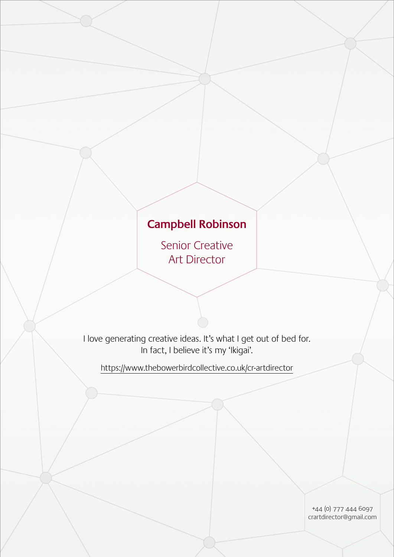# **Campbell Robinson**

Senior Creative Art Director

I love generating creative ideas. It's what I get out of bed for. In fact, I believe it's my 'Ikigai'.

<https://www.thebowerbirdcollective.co.uk/cr-artdirector>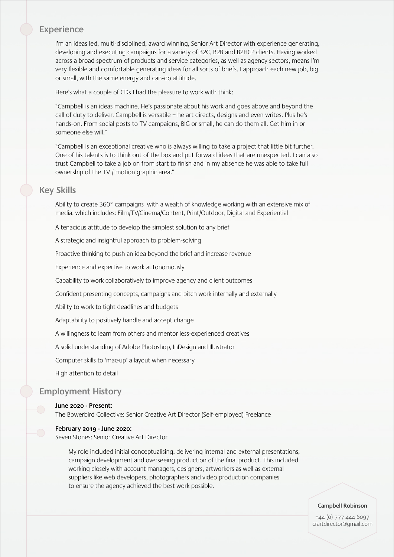# **Experience**

I'm an ideas led, multi-disciplined, award winning, Senior Art Director with experience generating, developing and executing campaigns for a variety of B2C, B2B and B2HCP clients. Having worked across a broad spectrum of products and service categories, as well as agency sectors, means I'm very flexible and comfortable generating ideas for all sorts of briefs. I approach each new job, big or small, with the same energy and can-do attitude.

Here's what a couple of CDs I had the pleasure to work with think:

"Campbell is an ideas machine. He's passionate about his work and goes above and beyond the call of duty to deliver. Campbell is versatile – he art directs, designs and even writes. Plus he's hands-on. From social posts to TV campaigns, BIG or small, he can do them all. Get him in or someone else will."

"Campbell is an exceptional creative who is always willing to take a project that little bit further. One of his talents is to think out of the box and put forward ideas that are unexpected. I can also trust Campbell to take a job on from start to finish and in my absence he was able to take full ownership of the TV / motion graphic area."

# **Key Skills**

Ability to create 360° campaigns with a wealth of knowledge working with an extensive mix of media, which includes: Film/TV/Cinema/Content, Print/Outdoor, Digital and Experiential

A tenacious attitude to develop the simplest solution to any brief

A strategic and insightful approach to problem-solving

Proactive thinking to push an idea beyond the brief and increase revenue

Experience and expertise to work autonomously

Capability to work collaboratively to improve agency and client outcomes

Confident presenting concepts, campaigns and pitch work internally and externally

Ability to work to tight deadlines and budgets

Adaptability to positively handle and accept change

A willingness to learn from others and mentor less-experienced creatives

A solid understanding of Adobe Photoshop, InDesign and Illustrator

Computer skills to 'mac-up' a layout when necessary

High attention to detail

# **Employment History**

#### **June 2020 - Present:**

The Bowerbird Collective: Senior Creative Art Director (Self-employed) Freelance

#### **February 2019 - June 2020:**

Seven Stones: Senior Creative Art Director

My role included initial conceptualising, delivering internal and external presentations, campaign development and overseeing production of the final product. This included working closely with account managers, designers, artworkers as well as external suppliers like web developers, photographers and video production companies to ensure the agency achieved the best work possible.

#### **Campbell Robinson**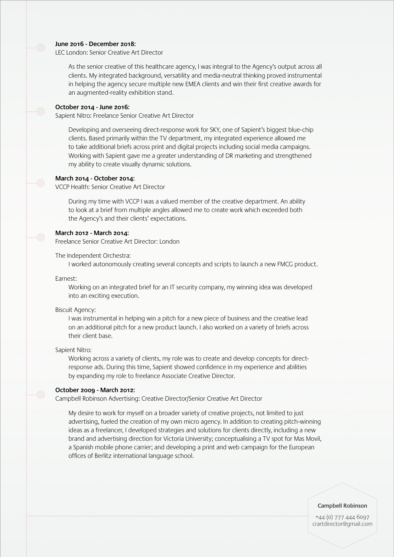## **June 2016 - December 2018:**

LEC London: Senior Creative Art Director

As the senior creative of this healthcare agency, I was integral to the Agency's output across all clients. My integrated background, versatility and media-neutral thinking proved instrumental in helping the agency secure multiple new EMEA clients and win their first creative awards for an augmented-reality exhibition stand.

#### **October 2014 - June 2016:**

Sapient Nitro: Freelance Senior Creative Art Director

Developing and overseeing direct-response work for SKY, one of Sapient's biggest blue-chip clients. Based primarily within the TV department, my integrated experience allowed me to take additional briefs across print and digital projects including social media campaigns. Working with Sapient gave me a greater understanding of DR marketing and strengthened my ability to create visually dynamic solutions.

## **March 2014 - October 2014:**

VCCP Health: Senior Creative Art Director

During my time with VCCP I was a valued member of the creative department. An ability to look at a brief from multiple angles allowed me to create work which exceeded both the Agency's and their clients' expectations.

#### **March 2012 - March 2014:**

Freelance Senior Creative Art Director: London

The Independent Orchestra:

I worked autonomously creating several concepts and scripts to launch a new FMCG product.

Earnest:

 Working on an integrated brief for an IT security company, my winning idea was developed into an exciting execution.

Biscuit Agency:

I was instrumental in helping win a pitch for a new piece of business and the creative lead on an additional pitch for a new product launch. I also worked on a variety of briefs across their client base.

Sapient Nitro:

 Working across a variety of clients, my role was to create and develop concepts for directresponse ads. During this time, Sapient showed confidence in my experience and abilities by expanding my role to freelance Associate Creative Director.

#### **October 2009 - March 2012:**

Campbell Robinson Advertising: Creative Director/Senior Creative Art Director

My desire to work for myself on a broader variety of creative projects, not limited to just advertising, fueled the creation of my own micro agency. In addition to creating pitch-winning ideas as a freelancer, I developed strategies and solutions for clients directly, including a new brand and advertising direction for Victoria University; conceptualising a TV spot for Mas Movil, a Spanish mobile phone carrier; and developing a print and web campaign for the European offices of Berlitz international language school.

**Campbell Robinson**